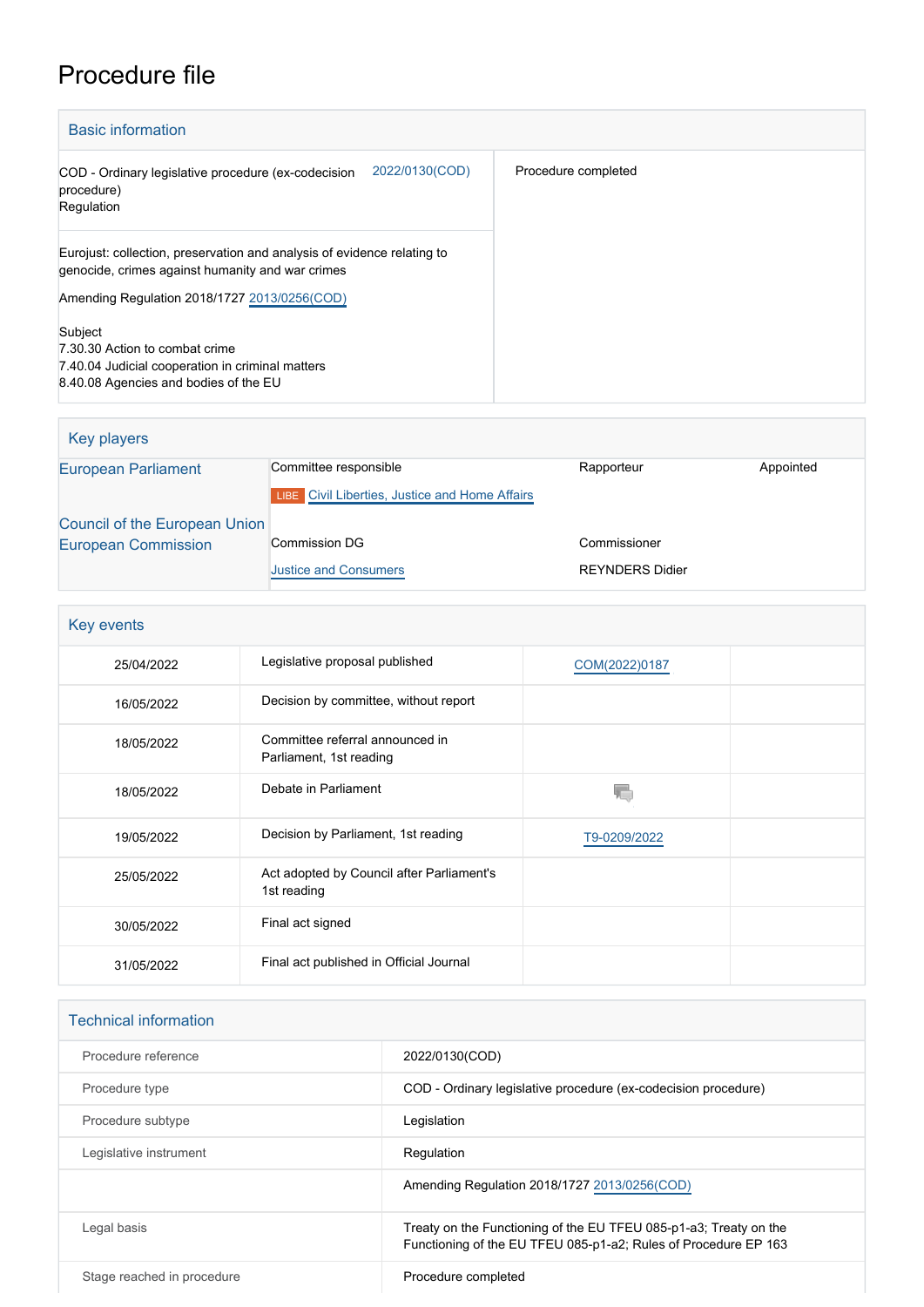## Procedure file

| <b>Basic information</b>                                                                                                    |                     |
|-----------------------------------------------------------------------------------------------------------------------------|---------------------|
| 2022/0130(COD)<br>COD - Ordinary legislative procedure (ex-codecision<br>procedure)<br>Regulation                           | Procedure completed |
| Eurojust: collection, preservation and analysis of evidence relating to<br>genocide, crimes against humanity and war crimes |                     |
| Amending Regulation 2018/1727 2013/0256(COD)                                                                                |                     |
| Subject                                                                                                                     |                     |
| 7.30.30 Action to combat crime                                                                                              |                     |
| 7.40.04 Judicial cooperation in criminal matters                                                                            |                     |
| 8.40.08 Agencies and bodies of the EU                                                                                       |                     |

| Key players                   |                                                       |                        |           |
|-------------------------------|-------------------------------------------------------|------------------------|-----------|
| <b>European Parliament</b>    | Committee responsible                                 | Rapporteur             | Appointed |
|                               | <b>LIBE</b> Civil Liberties, Justice and Home Affairs |                        |           |
| Council of the European Union |                                                       |                        |           |
| <b>European Commission</b>    | <b>Commission DG</b>                                  | Commissioner           |           |
|                               | <b>Justice and Consumers</b>                          | <b>REYNDERS Didier</b> |           |

| Key events |                                                            |               |  |
|------------|------------------------------------------------------------|---------------|--|
| 25/04/2022 | Legislative proposal published                             | COM(2022)0187 |  |
| 16/05/2022 | Decision by committee, without report                      |               |  |
| 18/05/2022 | Committee referral announced in<br>Parliament, 1st reading |               |  |
| 18/05/2022 | Debate in Parliament                                       |               |  |
| 19/05/2022 | Decision by Parliament, 1st reading                        | T9-0209/2022  |  |
| 25/05/2022 | Act adopted by Council after Parliament's<br>1st reading   |               |  |
| 30/05/2022 | Final act signed                                           |               |  |
| 31/05/2022 | Final act published in Official Journal                    |               |  |

| <b>Technical information</b> |                                                                                                                                      |
|------------------------------|--------------------------------------------------------------------------------------------------------------------------------------|
| Procedure reference          | 2022/0130(COD)                                                                                                                       |
| Procedure type               | COD - Ordinary legislative procedure (ex-codecision procedure)                                                                       |
| Procedure subtype            | Legislation                                                                                                                          |
| Legislative instrument       | Regulation                                                                                                                           |
|                              | Amending Regulation 2018/1727 2013/0256(COD)                                                                                         |
| Legal basis                  | Treaty on the Functioning of the EU TFEU 085-p1-a3; Treaty on the<br>Functioning of the EU TFEU 085-p1-a2; Rules of Procedure EP 163 |
| Stage reached in procedure   | Procedure completed                                                                                                                  |